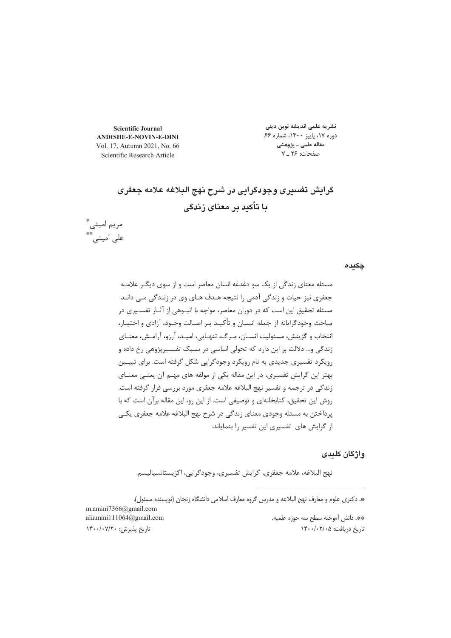**Scientific Journal ANDISHE-E-NOVIN-E-DINI** Vol. 17, Autumn 2021, No. 66 Scientific Research Article

مریم امینی\*<br>علی امینی\*\*

نشریه علمی اندیشه نوین دینی دوره ۱۷، پاییز ۱۴۰۰، شماره ۶۶ مقاله علمی ـ پژوهشی صفحات: ۲۶ ـ ۷

# گرایش تفسیری وجودگرایی در شرح نهج البلاغه علامه جعفری با تأكيد بر معناى زندگى

چکیدہ

واژگان کلیدی

نهج البلاغه، علامه جعفري، گرايش تفسيري، وجودگرايي، اگزيستانسياليسم.

\*. دکتری علوم و معارف نهج البلاغه و مدرس گروه معارف اسلامی دانشگاه زنجان (نویسنده مسئول).

m.amini7366@gmail.com aliamini111064@gmail.com تاريخ پذيرش: ١۴٠٠/٠٧/٢٠

\*\*. دانش آموخته سطح سه حوزه علميه. تاریخ دریافت: ۱۴۰۰/۰۲/۰۵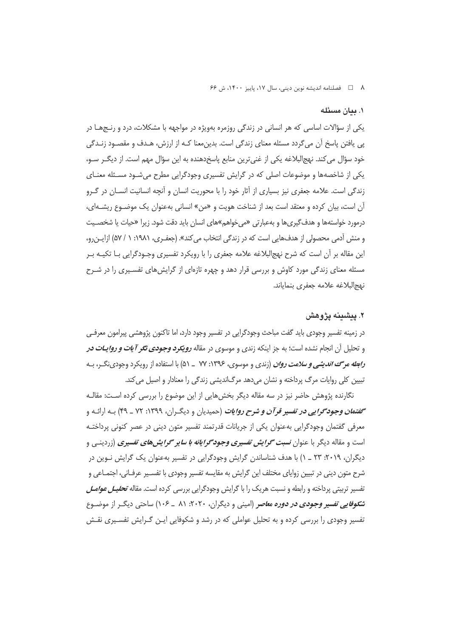٨ 1 - فصلنامه انديشه نوين ديني، سال ١٧، پاييز ١٤٠٠، ش ۶۶

#### ١. بيان مسئله

یکی از سؤالات اساسی که هر انسانی در زندگی روزمره بهویژه در مواجهه با مشکلات، درد و رنـجهـا در پی یافتن پاسخ آن میگردد مسئله معنای زندگی است. بدین،معنا کـه از ارزش، هـدف و مقصـود زنـدگی خود سؤال می کند. نهج|لبلاغه یکی از غنیترین منابع پاسخدهنده به این سؤال مهم است. از دیگ رسو، یکی از شاخصهها و موضوعات اصلی که در گرایش تفسیری وجودگرایی مطرح میشـود مسـئله معنـای زندگی است. علامه جعفری نیز بسیاری از آثار خود را با محوریت انسان و آنچه انسانیت انسـان در گـرو آن است، بیان کرده و معتقد است بعد از شناخت هویت و «من» انسانی بهعنوان یک موضـوع ریشــهای، درمورد خواستهها و هدف§یریها و بهعبارتی «می خواهم»های انسان باید دقت شود. زیرا «حیات یا شخصـیت و منش آدمی محصولی از هدفهایی است که در زندگی انتخاب می کند». (جعفـری، ۱۹۸۱: ۱ / ۵۷) ازابن رو، این مقاله بر آن است که شرح نهج|لبلاغه علامه جعفری را با رویکرد تفسیری وجـودگرایی بـا تکیـه بـر مسئله معنای زندگی مورد کاوش و بررسی قرار دهد و چهره تازمای از گرایش های تفسیری را در شـرح نهج البلاغه علامه جعفرى بنماياند.

#### ۲. ييشينه يژوهش

در زمينه تفسير وجودي بايد گفت مباحث وجودگرايي در تفسير وجود دارد، اما تاكنون پژوهشي پيرامون معرفـي و تحلیل آن انجام نشده است؛ به جز اینکه زندی و موسوی در مقاله *رویکرد وجودی تکر آ ی<i>ات و روایـات در* ر*ابطه مرگ اندیشی و سلامت روان* (زندی و موسوی، ۱۳۹۶: ۷۷ \_ ۵۱) با استفاده از رویکرد وجودی نگ ، بـه تبیین کلی روایات مرگ پرداخته و نشان میدهد مرگاندیشی زندگی را معنادار و اصیل می کند.

نگارنده پژوهش حاضر نیز در سه مقاله دیگر بخش هایی از این موضوع را بررسی کرده است: مقالـه **گفتم***ان وجودگرایی در تفسیر قرآن و شرح روایات* **(**حمیدیان و دیگران، ۱۳۹۹: ۷۲ ـ ۴۹) بـه ارائـه و معرفی گفتمان وجودگرایی بهعنوان یکی از جریانات قدرتمند تفسیر متون دینی در عصر کنونی پرداختـه است و مقاله دیگر با عنوان *نسبت گرایش تفسیری وجودگرایانه با سایر گرایشهای تفسیری* (زردین<sub>گ</sub> و دیگران، ۲۰۱۹: ۲۳ \_ ۱) با هدف شناساندن گرایش وجودگرایی در تفسیر بهعنوان یک گرایش نـوین در شرح متون دینی در تبیین زوایای مختلف این گرایش به مقایسه تفسیر وجودی با تفسـیر عرفـانی، اجتمـاعی و تفسیر تربیتی پرداخته و رابطه و نسبت هریک را با گرایش وجودگرایی بررسی کرده است. مقاله *تحلیـل عوامـل* **ش***کوفایی تفسیر وجودی در دوره معاص***ر (ا**مینی و دیگران، ۲۰۲۰: ۸۱ \_ ۱۰۶) ساحتی دیگ از موضـوع تفسیر وجودی را بررسی کرده و به تحلیل عواملی که در رشد و شکوفایی ایـن گـرایش تفسـیری نقـش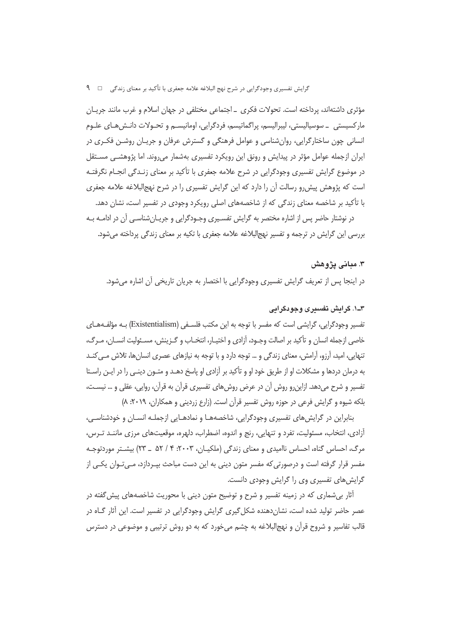## گرایش تفسیری وجودگرایی در شرح نهج البلاغه علامه جعفری با تأکید بر معنای زندگی □ ۹

مؤثري داشتهاند، پرداخته است. تحولات فكرى \_ اجتماعي مختلفي در جهان اسلام و غرب مانند جريــان مارکسیستی \_ سوسیالیستی، لیبرالیسم، پراگماتیسم، فردگرایی، اومانیســم و تحـولات دانـش۵هـای علـوم انسانی چون ساختارگرایی، روانشناسی و عوامل فرهنگی و گسترش عرفان و جریـان روشـن فکـری در ایران ازجمله عوامل مؤثر در پیدایش و رونق این رویکرد تفسیری بهشمار می روند. اما پژوهشـی مسـتقل در موضوع گرایش تفسیری وجودگرایی در شرح علامه جعفری با تأکید بر معنای زنـدگی انجـام نگرفتـه است که پژوهش پیش رو رسالت آن را دارد که این گرایش تفسیری را در شرح نهج|لبلاغه علامه جعفری با تأکید بر شاخصه معنای زندگی که از شاخصههای اصلی رویکرد وجودی در تفسیر است، نشان دهد.

در نوشتار حاضر پس از اشاره مختصر به گرایش تفسیری وجـودگرایی و جریـان شناسـی آن در ادامـه بـه بررسی این گرایش در ترجمه و تفسیر نهج|لبلاغه علامه جعفری با تکیه بر معنای زندگی پرداخته می شود.

#### ۳. میانی پژوهش

در اینجا پس از تعریف گرایش تفسیری وجودگرایی با اختصار به جریان تاریخی آن اشاره می شود.

## ۳ــ۱. گرایش تفسیری وجودگرایی

تفسیر وجودگرایی، گرایشی است که مفسر با توجه به این مکتب فلسـفی (Existentialism) بـه مؤلفـههـای خاصي ازجمله انسان و تأكيد بر اصالت وجـود، آزادي و اختيـار، انتخـاب و گـزينش، مسـئوليت انسـان، مـرگ، تنهایی، امید، آرزو، آرامش، معنای زندگی و … توجه دارد و با توجه به نیازهای عصری انسانها، تلاش مـی کنــد به درمان دردها و مشکلات او از طریق خود او و تأکید بر آزادی او پاسخ دهـد و متـون دینـی را در ایـن راسـتا تفسیر و شرح میدهد. ازاین٫و روش آن در عرض روشهای تفسیری قرآن به قرآن، روایی، عقلی و … نیسـت، بلکه شیوه و گرایش فرعی در حوزه روش تفسیر قرآن است. (زارع زردینی و همکاران، ۲۰۱۹: ۸)

بنابراین در گرایش های تفسیری وجودگرایی، شاخصههـا و نمادهـایی ازجملـه انسـان و خودشناسـی، آزادی، انتخاب، مسئولیت، تفرد و تنهایی، رنج و اندوه، اضطراب، دلهره، موقعیتهای مرزی ماننــد تــرس، مرگ، احساس گناه، احساس ناامیدی و معنای زندگی (ملکیـان، ۲۰۰۳: ۴ / ۵۲ \_ ۲۳) بیشـتر موردتوجـه مفسر قرار گرفته است و درصورتی که مفسر متون دینی به این دست مباحث بپـردازد، مـیتـوان یکـی از گرایش های تفسیری وی را گرایش وجودی دانست.

آثار بی شماری که در زمینه تفسیر و شرح و توضیح متون دینی با محوریت شاخصههای پیش گفته در عصر حاضر تولید شده است، نشان دهنده شکل گیری گرایش وجودگرایی در تفسیر است. این آثار گـاه در قالب تفاسیر و شروح قرآن و نهج(لبلاغه به چشم می خورد که به دو روش ترتیبی و موضوعی در دسترس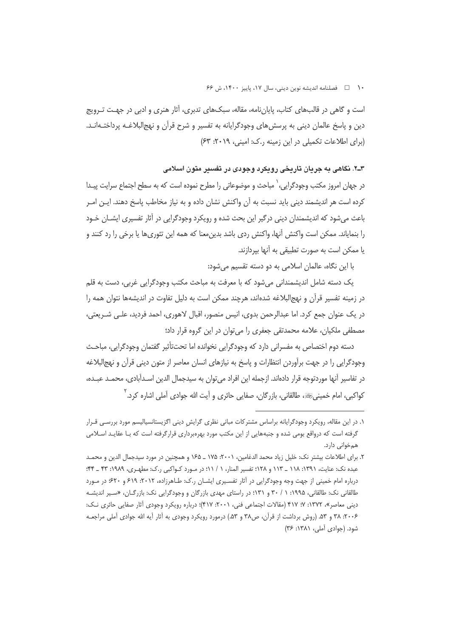۱۰ هسلنامه انديشه نوين ديني، سال ۱۷، پاييز ۱۴۰۰، ش ۶۶

است و گاهی در قالبهای کتاب، پایانِنامه، مقاله، سبکهای تدبری، اَثار هنری و ادبی در جهـت تـرویج دین و پاسخ عالمان دینی به پرسش های وجودگرایانه به تفسیر و شرح قرآن و نهج البلاغـه پرداختـهانـد. (برای اطلاعات تکمیلی در این زمینه ر.ک: امینی، ۲۰۱۹: ۶۳)

# ۳ـ۲. نگاهی به جریان تاریخی رویکرد وجودی در تفسیر متون اسلامی

در جهان امروز مكتب وجودگرايى، ٰ مباحث و موضوعاتى را مطرح نموده است كه به سطح اجتماع سرايت پيـدا كرده است هر انديشمند ديني بايد نسبت به آن واكنش نشان داده و به نياز مخاطب پاسخ دهند. ايـن امـر باعث می شود که اندیشمندان دینی درگیر این بحث شده و رویکرد وجودگرایی در آثار تفسیری ایشــان خـود را بنمایاند. ممکن است واکنش آنها، واکنش ردی باشد بدین،معنا که همه این تئوریها یا برخی را رد کنند و يا ممكن است به صورت تطبيقي به آنها بپردازند.

با این نگاه، عالمان اسلامی به دو دسته تقسیم می شود:

یک دسته شامل اندیشمندانی می شود که با معرفت به مباحث مکتب وجودگرایی غربی، دست به قلم در زمینه تفسیر قرآن و نهج|لبلاغه شده|ند، هرچند ممکن است به دلیل تفاوت در اندیشهها نتوان همه را در یک عنوان جمع کرد. اما عبدالرحمن بدوی، انیس منصور، اقبال لاهوری، احمد فردید، علـی شـریعتی، مصطفی ملکیان، علامه محمدتقی جعفری را می توان در این گروه قرار داد؛

دسته دوم اختصاص به مفسرانی دارد که وجودگرایی نخوانده اما تحتتأثیر گفتمان وجودگرایی، مباحث وجودگرایی را در جهت برآوردن انتظارات و پاسخ به نیازهای انسان معاصر از متون دینی قرآن و نهج|لبلاغه در تفاسير آنها موردتوجه قرار دادهاند. ازجمله اين افراد مي توان به سيدجمال الدين اسـدآبادي، محمـد عبـده، کواکبی، امام خمینیﷺ، طالقانی، بازرگان، صفایی حائری و آیت الله جوادی آملی اشاره کرد. <sup>۲</sup>

١. در این مقاله، رویکرد وجودگرایانه براساس مشترکات مبانی نظری گرایش دینی اگزیستانسیالیسم مورد بررسی قـرار گرفته است که درواقع بومی شده و جنبههایی از این مکتب مورد بهرهبرداری قرارگرفته است که بـا عقایـد اسـلامی همخوانی دارد.

٢. براي اطلاعات بيشتر نك: خليل زياد محمد الدغامين، ٢٠٠١، ١٧۵ ــ ١٤٥ و همچنين در مورد سيدجمال الدين و محمـد عبده نک: عنایت، ۱۳۹۱: ۱۱۸ \_ ۱۱۳ و ۱۲۸؛ تفسیر المنار، ۱ / ۱۱؛ در مـورد کـواکبی ر.ک: مطهـری، ۱۹۸۹: ۴۳ \_ ۴۴: درباره امام خمینی از جهت وجه وجودگرایی در آثار تفسیری ایشـان ر.ک: طـاهرزاده، ۲۰۱۲: ۶۱۹ و ۶۲۰؛ در مـورد طالقانی نک: طالقانی، ۱۹۹۵: ۱ / ۳۰ و ۱۳۱؛ در راستای مهدی بازرگان و وجودگرایی نک: بازرگـان، «سـیر اندیشـه دینی معاصر»، ۱۳۷۲: ۷؛ ۴۱۷ (مقالات اجتماعی فنی، ۲۰۰۱: ۴۱۷)؛ درباره رویکرد وجودی آثار صفایی حائری نـک: ۲۰۰۶: ۳۸ و ۵۳. (روش برداشت از قرآن، ص۳۸ و ۵۳.) درمورد رویکرد وجودی به آثار آیه الله جوادی آملی مراجعـه شود. (جوادي آملي، ۱۳۸۱: ۳۶)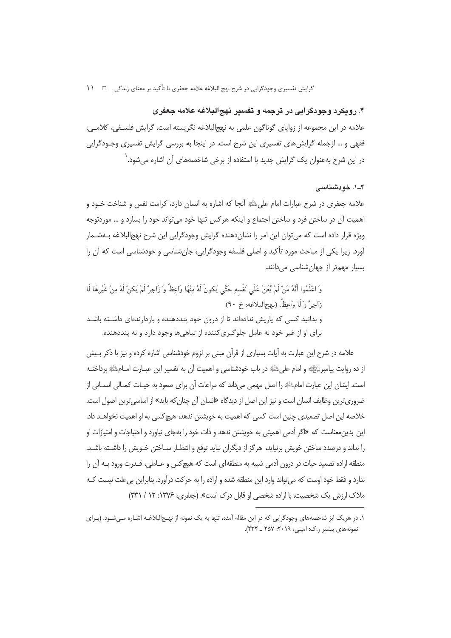# ۴. رویکرد وجودگرایی در ترجمه و تفسیر نهجالبلاغه علامه جعفری

علامه در این مجموعه از زوایای گوناگون علمی به نهج|لبلاغه نگریسته است. گرایش فلسـفی، کلامـی، فقهی و … ازجمله گرایشهای تفسیری این شرح است. در اینجا به بررسی گرایش تفسیری وجـودگرایی در این شرح بهعنوان یک گرایش جدید با استفاده از برخی شاخصههای آن اشاره میشود. ٰ

## ۴۔۱. خودشناسی

علامه جعفری در شرح عبارات امام علیﷺ أنجا که اشاره به انسان دارد، کرامت نفس و شناخت خـود و اهميت آن در ساختن فرد و ساختن اجتماع و اينكه هركس تنها خود مي تواند خود را بسازد و … موردتوجه ویژه قرار داده است که می توان این امر را نشان دهنده گرایش وجودگرایی این شرح نهجالبلاغه بـهشــمار آورد. زیرا یکی از مباحث مورد تأکید و اصلی فلسفه وجودگرایی، جانشناسی و خودشناسی است که آن را بسیار مهمتر از جهان شناسی می دانند.

وَ اعْلَمُوا أَنَّهُ مَنْ لَمْ يُعَنْ عَلَى نَفْسهِ حَتَّى يَكونَ لَهُ مِنْهَا وَاعِظُ وَ زَاجِرٌ لَمْ يَكنْ لَهُ مِنْ غَيْرِهَا لَا زَاجِيٌّ وَ لَا وَاعِظٌّ. (نِهِجِ البلاغه: خ ٩٠) و بدانید کسی که پاریش ندادهاند تا از درون خود پنددهنده و بازدارندهای داشـته باشـد برای او از غیر خود نه عامل جلوگیری کننده از تباهی ها وجود دارد و نه پنددهنده.

علامه در شرح این عبارت به آیات بسیاری از قرآن مبنی بر لزوم خودشناسی اشاره کرده و نیز با ذکر بـیش از ده روايت پيامبرﷺ و امام على ﷺ در باب خودشناسي و اهميت آن به تفسير اين عبـارت امــامِ ﷺ پرداختــه است. ایشان این عبارت امامﷺ را اصل مهمی میداند که مراعات آن برای صعود به حیـات کمـالی انسـانی از ضروریترین وظایف انسان است و نیز این اصل از دیدگاه «انسان آن چنان که باید» از اساسیترین اصول است. خلاصه این اصل تصعیدی چنین است کسی که اهمیت به خویشتن ندهد، هیچکسی به او اهمیت نخواهـد داد. این بدین معناست که «اگر آدمی اهمیتی به خویشتن ندهد و ذات خود را بهجای نیاورد و احتیاجات و امتیازات او را نداند و درصدد ساختن خویش برنیاید، هرگز از دیگران نباید توقع و انتظـار سـاختن خـویش را داشـته باشـد. منطقه اراده تصعید حیات در درون آدمی شبیه به منطقهای است که هیچکس و عـاملی، قـدرت ورود بـه آن را ندارد و فقط خود اوست که می تواند وارد این منطقه شده و اراده را به حرکت درآورد. بنابراین بی علت نیست کـه ملاک ارزش یک شخصیت، با اراده شخصی او قابل درک است». (جعفری، ۱۳۷۶: ۱۲ / ۲۳۱)

۱. در هریک ابز شاخصههای وجودگرایی که در این مقاله آمده، تنها به یک نمونه از نهـج|لبلاغـه اشـاره مـی٬شـود. (بـرای نمونههای بیشتر ر.ک: امینی، ۲۰۱۹: ۲۵۷ ـ ۲۳۲).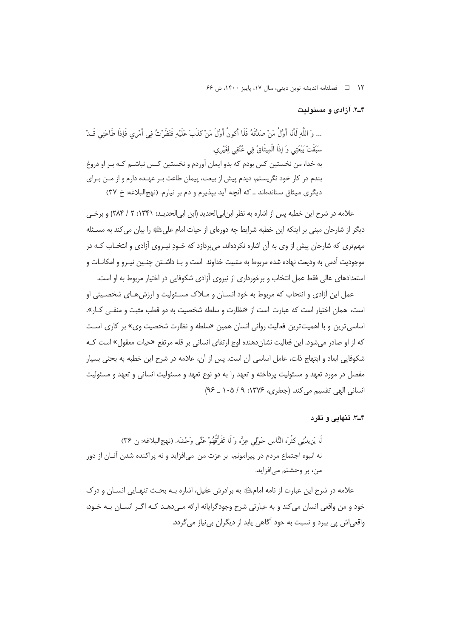۱۲ □ فصلنامه انديشه نوين ديني، سال ١٧، پاييز ١۴٠٠، ش ۶۶

۴\_۲. آزادي و مسئوليت

... وَ اللَّهِ لَأَنَا أَوَّلُ مَنْ صَدَّقَهُ فَلَا أَكُونُ أَوَّلَ مَنْ كذَبَ عَلَيْهِ فَنَظَرْتُ في أَمْرِي فَإِذَا طَاعَتي قَـدْ سَبَقَتْ بَيْعَتِي وَ إِذَا الْمِيثَاقُ فِي عُنُقِي لِغَيْرِي. به خدا، من نخستین کس بودم که بدو ایمان آوردم و نخستین کـس نباشــم کـه بـر او دروغ بندم در کار خود نگریستم، دیدم پیش از بیعت، پیمان طاعت بـر عهـده دارم و از مــن بـرای دیگری میثاق ستاندهاند ـ که آنچه آید بپذیرم و دم بر نیارم. (نهج البلاغه: خ ٣٧)

علامه در شرح این خطبه پس از اشاره به نظر ابن ابی الحدید (ابن ابی الحدیـد: ۱۳۴۱: ۲ / ۲۸۴) و برخـی دیگر از شارحان مبنی بر اینکه این خطبه شرایط چه دورهای از حیات امام علیﷺ را بیان می کند به مسـئله مهمتری که شارحان پیش از وی به آن اشاره نکردهاند، می پردازد که خـودِ نیـروی آزادی و انتخـاب کـه در موجوديت آدمي به وديعت نهاده شده مربوط به مشيت خداوند است و بـا داشــتن چنــين نيـرو و امكانــات و استعدادهای عالی فقط عمل انتخاب و برخورداری از نیروی آزادی شکوفایی در اختیار مربوط به او است.

عمل این آزادی و انتخاب که مربوط به خود انسـان و مــلاک مسـئولیت و ارزش هـای شخصـیتی او است، همان اختیار است که عبارت است از «نظارت و سلطه شخصیت به دو قطب مثبت و منفی ک)ر». اساسی ترین و با اهمیت ترین فعالیت روانی انسان همین «سلطه و نظارت شخصیت وی» بر کاری است که از او صادر می شود. این فعالیت نشان دهنده اوج ارتقای انسانی بر قله مرتفع «حیات معقول» است کـه شکوفایی ابعاد و ابتهاج ذات، عامل اساسی آن است. پس از آن، علامه در شرح این خطبه به بحثی بسیار مفصل در مورد تعهد و مسئولیت پرداخته و تعهد را به دو نوع تعهد و مسئولیت انسانی و تعهد و مسئولیت انسانی الھی تقسیم می کند. (جعفری، ۱۳۷۶: ۹/ ۱۰۵ ـ ۹۶)

۳\_۳. تنهایی و تفرد

لَا يَزِيدُنِي كَثْرَه النَّاسِ حَوْلِي عِزَّه وَ لَا تَفَرُّقُهُمْ عَنِّي وَحْشَه. (نهجالبلاغه: ن ٣۶) نه انبوه اجتماع مردم در پیرامونم، بر عزت من می|فزاید و نه پراکنده شدن آنـان از دور من، بر وحشتم مے افزاید.

علامه در شرح این عبارت از نامه امامﷺ به برادرش عقیل، اشاره بـه بحـث تنهـایی انســان و درک خود و من واقعی انسان می کند و به عبارتی شرح وجودگرایانه ارائه مـیدهـد کـه اگـر انسـان بـه خـود، واقعي اش يې بېرد و نسبت به خود آگاهي پابد از ديگران بي نياز مي گردد.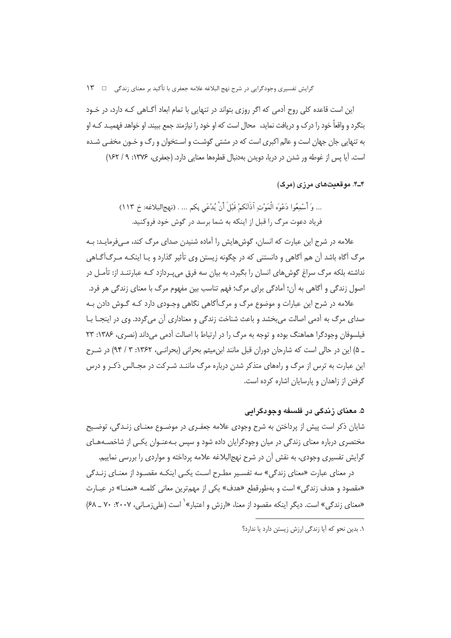این است قاعده کلی روح آدمی که اگر روزی بتواند در تنهایی با تمام ابعاد آگـاهی کـه دارد، در خـود بنگرد و واقعاً خود را درک و دریافت نماید، محال است که او خود را نیازمند جمع ببیند. او خواهد فهمیـد کـه او به تنهایی جان جهان است و عالم اکبری است که در مشتی گوشـت و اسـتخوان و رگ و خـون مخفـی شـده است. آیا پس از غوطه ور شدن در دریا، دویدن بهدنبال قطرهها معنایی دارد. (جعفری، ۱۳۷۶: ۹/ ۱۶۲)

۴\_۴. موقعت های مرزی (مرگ)

... وَ أَسْمِعُوا دَعْوَه الْمَوْتِ آذَانَكُمْ قَبْلَ أَنْ يُدْعَى بِكُم ... . (نهجالبلاغه: خ ١١٣) فرياد دعوت مرگ ,ا قبل از اينكه به شما برسد در گوش خود فروكنيد.

علامه در شرح این عبارت که انسان، گوشهایش را آماده شنیدن صدای مرگ کند، مـیفرمایــد: بـه مرگ آگاه باشد آن هم آگاهی و دانستنی که در چگونه زیستن وی تأثیر گذارد و یـا اینکـه مـرگ|گــاهی نداشته بلکه مرگ سراغ گوش های انسان را بگیرد، به بیان سه فرق می بـردازد کـه عبارتنـد از: تأمـل در اصول زندگی و آگاهی به آن؛ آمادگی برای مرگ؛ فهم تناسب بین مفهوم مرگ با معنای زندگی هر فرد.

علامه در شرح این عبارات و موضوع مرگ و مرگ[گاهی نگاهی وجـودی دارد کـه گـوش دادن بـه صدای مرگ به آدمی اصالت می بخشد و باعث شناخت زندگی و معناداری آن می گردد. وی در اینجـا بــا فیلسوفان وجودگرا هماهنگ بوده و توجه به مرگ را در ارتباط با اصالت آدمی می داند (نصری، ۱۳۸۶: ۲۳ ـ ۵) این در حالی است که شارحان دوران قبل مانند این میثم بحرانی (بحرانـی، ۱۳۶۲: ۳ / ۹۴) در شــرح این عبارت به ترس از مرگ و راههای متذکر شدن درباره مرگ ماننـد شـرکت در مجـالس ذکـر و درس گرفتن از زاهدان و پارسایان اشاره کرده است.

۵. معنای زندگی در فلسفه وجودگرایی

شایان ذکر است پیش از پرداختن به شرح وجودی علامه جعفـری در موضـوع معنـای زنـدگی، توضـیح مختصری درباره معنای زندگی در میان وجودگرایان داده شود و سپس بـهعنـوان یکـی از شاخصـههـای گرایش تفسیری وجودی، به نقش آن در شرح نهج|لبلاغه علامه پرداخته و مواردی را بررسی نماییم.

در معنای عبارت «معنای زندگی» سه تفسـیر مطـرح اسـت یکـی اینکـه مقصـود از معنـای زنـدگی «مقصود و هدف زندگی» است و بهطورقطع «هدف» یکی از مهمترین معانی کلمـه «معنـا» در عبـارت «معنای زندگی» است. دیگر اینکه مقصود از معنا، «ارزش و اعتبار»` است (علی زمـانی، ۲۰۰۷ ـ ۴۸) ـ ۶۸)

١. بدین نحو که آیا زندگی ارزش زیستن دارد یا ندارد؟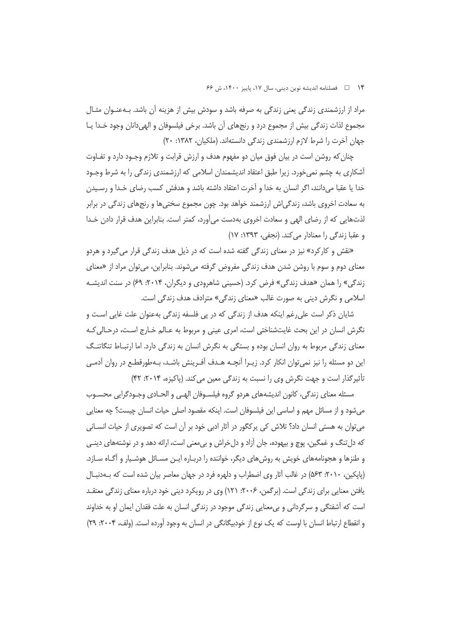۱۴ هـ المسلنامه انديشه نوين ديني، سال ۱۷، پاييز ۱۴۰۰، ش ۶۶

مراد از ارزشمندی زندگی یعنی زندگی به صرفه باشد و سودش بیش از هزینه آن باشد. بـهعنـوان مثـال مجموع لذات زندگی بیش از مجموع درد و رنجهای آن باشد. برخی فیلسوفان و الهیدانان وجود خـدا یـا جهان آخرت را شرط لازم ارزشمندی زندگی دانستهاند. (ملکیان، ۱۳۸۲: ۲۰)

چنان که روشن است در بیان فوق میان دو مفهوم هدف و ارزش قرابت و تلازم وجـود دارد و تفـاوت آشکاری به چشم نمیخورد. زیرا طبق اعتقاد اندیشمندان اسلامی که ارزشمندی زندگی را به شرط وجـود خدا یا عقبا میدانند، اگر انسان به خدا و آخرت اعتقاد داشته باشد و هدفش کسب رضای خـدا و رسـیدن به سعادت اخروی باشد، زندگیاش ارزشمند خواهد بود. چون مجموع سختیها و رنجهای زندگی در برابر لذت@ایی که از رضای الهی و سعادت اخروی بهدست می آورد، کمتر است. بنابراین هدف قرار دادن خـدا و عقبا زندگی را معنادار می کند. (نجفی، ۱۳۹۳: ۱۷)

«نقش و کارکرد» نیز در معنای زندگی گفته شده است که در ذیل هدف زندگی قرار می گیرد و هردو معنای دوم و سوم با روشن شدن هدف زندگی مفروض گرفته میشوند. بنابراین، میتوان مراد از «معنای زندگی» را همان «هدف زندگی» فرض کرد. (حسینی شاهرودی و دیگران، ۲۰۱۴: ۶۹) در سنت اندیشـه اسلامي و نگرش ديني به صورت غالب «معناي زندگي» مترادف هدف زندگي است.

شایان ذکر است علی رغم اینکه هدف از زندگی که در پی فلسفه زندگی بهعنوان علت غایی اسـت و نگرش انسان در این بحث غایتشناختی است، امری عینی و مربوط به عـالم خـارج اسـت، درحـالی کـه معنای زندگی مربوط به روان انسان بوده و بستگی به نگرش انسان به زندگی دارد. اما ارتباط تنگاتنگ این دو مسئله را نیز نمی توان انکار کرد. زیـرا آنچــه هــدف آفـرینش باشــد، بــهطورقطــع در روان آدمــی تأثیر گذار است و جهت نگرش وی را نسبت به زندگی معین می کند. (پاکیزه، ۲۰۱۴: ۴۲)

مسئله معنای زندگی، کانون اندیشههای هردو گروه فیلسـوفان الهـی و الحـادی وجـودگرایی محسـوب میشود و از مسائل مهم و اساسی این فیلسوفان است. اینکه مقصود اصلی حیات انسان چیست؟ چه معنایی می توان به هستی انسان داد؟ تلاش کی پرکگور در آثار ادبی خود بر آن است که تصویری از حیات انســانی که دل تنگ و غمگین، پوچ و بیهوده، جان آزاد و دل خراش و بی معنی است، ارائه دهد و در نوشتههای دینـی و طنزها و هجونامههای خویش به روش های دیگر، خواننده را دربـاره ایـن مسـائل هوشـیار و اَگـاه سـازد. (پاپکین، ۲۰۱۰: ۵۶۳) در غالب آثار وی اضطراب و دلهره فرد در جهان معاصر بیان شده است که بــهدنبــال یافتن معنایی برای زندگی است. (برگمن، ۲۰۰۶: ۱۲۱) وی در رویکرد دینی خود درباره معنای زندگی معتقـد است که آشفتگی و سرگردانی و بی،معنایی زندگی موجود در زندگی انسان به علت فقدان ایمان او به خداوند و انقطاع ارتباط انسان با اوست که یک نوع از خودبیگانگی در انسان به وجود آورده است. (ولف، ۲۰۰۴: ۲۹)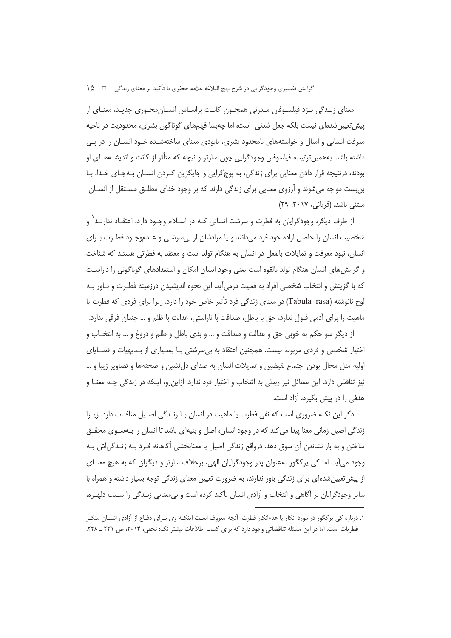معنای زنـدگی نـزد فیلسـوفان مـدرنی همچـون کانـت براسـاس انسـان،محـوری جدیـد، معنـای از پیش تعیین شدهای نیست بلکه جعل شدنی است، اما چهبسا فهمهای گوناگون بشری، محدودیت در ناحیه معرفت انسانی و امیال و خواستههای نامحدود بشری، نابودی معنای ساختهشـده خـود انســان را در یــی داشته باشد. بههمین ترتیب، فیلسوفان وجودگرایی چون سارتر و نیچه که متأثر از کانت و اندیشـههـای او بودند، درنتیجه قرار دادن معنایی برای زندگی، به پوچگرایی و جایگزین کـردن انســان بــهجـای خــدا، بــا بن بست مواجه می شوند و آرزوی معنایی برای زندگی دارند که بر وجود خدای مطلــق مســتقل از انســان مبتنی باشد. (قربانی، ۲۰۱۷: ۲۹)

از طرف دیگر، وجودگرایان به فطرت و سرشت انسانی کـه در اسـلام وجـود دارد، اعتقـاد ندارنـد` و شخصیت انسان را حاصل اراده خود فرد می دانند و یا مرادشان از بی سرشتی و عــدموجـود فطــرت بــرای انسان، نبود معرفت و تمایلات بالفعل در انسان به هنگام تولد است و معتقد به فطرتی هستند که شناخت و گرایش های انسان هنگام تولد بالقوه است یعنی وجود انسان امکان و استعدادهای گوناگونی را داراست که با گزینش و انتخاب شخصی افراد به فعلیت درمی آید. این نحوه اندیشیدن درزمینه فطـرت و بـاور بـه لوح نانوشته (Tabula rasa) در معناي زندگي فرد تأثير خاص خود را دارد. زيرا براي فردي كه فطرت يا ماهیت را برای ادمی قبول ندارد، حق با باطل، صداقت با ناراستی، عدالت با ظلم و … چندان فرقی ندارد.

از ديگر سو حكم به خوبي حق و عدالت و صداقت و … و بدي باطل و ظلم و دروغ و … به انتخــاب و اختیار شخصی و فردی مربوط نیست. همچنین اعتقاد به بیسرشتی بـا بسـیاری از بـدیهیات و قضـایای اولیه مثل محال بودن اجتماع نقیضین و تمایلات انسان به صدای دل نشین و صحنهها و تصاویر زیبا و … نیز تناقض دارد. این مسائل نیز ربطی به انتخاب و اختیار فرد ندارد. ازاینرو، اینکه در زندگی چـه معنــا و هدفی را در پیش بگیرد، آزاد است.

ذکر این نکته ضروری است که نفی فطرت یا ماهیت در انسان بـا زنـدگی اصـیل منافـات دارد. زیـرا زندگی اصیل زمانی معنا پیدا می کند که در وجود انسان، اصل و بنیهای باشد تا انسان را بـهسـوی محقـق ساختن و به بار نشاندن آن سوق دهد. درواقع زندگی اصیل با معنابخشی آگاهانه فـرد بـه زنـدگی|ش بـه وجود می آید. اما کی پرکگور بهعنوان پدر وجودگرایان الهی، برخلاف سارتر و دیگران که به هیچ معنـای از پیش تعیین شدهای برای زندگی باور ندارند، به ضرورت تعیین معنای زندگی توجه بسیار داشته و همراه با سایر وجودگرایان بر آگاهی و انتخاب و آزادی انسان تأکید کرده است و بی معنایی زنـدگی را سـبب دلهـره،

۱. درباره کی پرکگور در مورد انکار یا عدمانکار فطرت، آنچه معروف است اینکـه وی بـرای دفـاع از آزادی انسـان منکـر فطریات است. اما در این مسئله تناقضاتی وجود دارد که برای کسب اطلاعات بیشتر نک: نجفی، ۲۰۱۴، ص ۲۳۱ ـ ۲۲۸.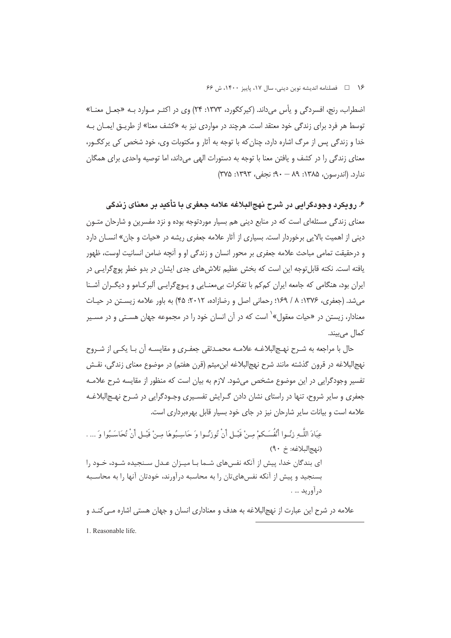۱۶ هـ المسلنامه انديشه نوين ديني، سال ١٧، پاييز ١۴٠٠، ش ۶۶

اضطراب، رنج، افسردگی و یأس میداند. (کیرکگورد، ۱۳۷۳: ۲۴) وی در اکثـر مـوارد بـه «جعـل معنـا» توسط هر فرد برای زندگی خود معتقد است. هرچند در مواردی نیز به «کشف معنا» از طریـق ایمـان بـه خدا و زندگی پس از مرگ اشاره دارد، چنان که با توجه به آثار و مکتوبات وی، خود شخص کی پرکگـور، معنای زندگی را در کشف و یافتن معنا با توجه به دستورات الهی می داند، اما توصیه واحدی برای همگان 

۶. رویکرد وجودگرایی در شرح نهجالبلاغه علامه جعفری با تأکید بر معنای زندگی معنای زندگی مسئلهای است که در منابع دینی هم بسیار موردتوجه بوده و نزد مفسرین و شارحان متـون دینی از اهمیت بالایی برخوردار است. بسیاری از آثار علامه جعفری ریشه در «حیات و جان» انســان دارد و درحقیقت تمامی مباحث علامه جعفری بر محور انسان و زندگی او و اّنچه ضامن انسانیت اوست، ظهور یافته است. نکته قابل توجه این است که بخش عظیم تلاش های جدی ایشان در بدو خطر پوچ گرایبی در ایران بود، هنگامی که جامعه ایران کمکم با تفکرات بی معنـایی و پـوچگرایـی آلبرکـامو و دیگـران آشـنا می شد. (جعفری، ۱۳۷۶: ۸ / ۱۶۹؛ رحمانی اصل و رضازاده، ۲۰۱۲: ۴۵) به باور علامه زیستن در حیات معنادار، زیستن در «حیات معقول»<sup>۱</sup> است که در آن انسان خود را در مجموعه جهان هسـتی و در مسـیر کمال م<sub>ی</sub>بیند.

حال با مراجعه به شـرح نهـج|لبلاغـه علامـه محمـدتقى جعفـرى و مقايسـه آن بـا يكـي از شـروح نهج|لبلاغه در قرون گذشته مانند شرح نهج|لبلاغه ابنِ ميثم (قرن هفتم) در موضوع معناي زندگي، نقـش تفسیر وجودگرایی در این موضوع مشخص میشود. لازم به بیان است که منظور از مقایسه شرح علامـه جعفری و سایر شروح، تنها در راستای نشان دادن گـرایش تفسـیری وجـودگرایی در شـرح نهـج|لبلاغـه علامه است و بیانات سایر شارحان نیز در جای خود بسیار قابل بهرهبرداری است.

عِبَادَ اللَّـهِ زِنُـوا أَنْفُسَـكمْ مِـنْ قَبْـلٍ أَنْ تُوزَنُـوا وَ حَاسِـبُوهَا مِـنْ قَبْـلٍ أَنْ تُحَاسَـبُوا وَ ... . (نهج البلاغه: خ ٩٠) ای بندگان خدا، پیش از آنکه نفسهای شـما بـا میـزان عـدل سـنجیده شـود، خـود را بسنجید و پیش از آنکه نفسهایتان را به محاسبه درآورند، خودتان آنها را به محاسـبه در آوريد … .

علامه در شرح این عبارت از نهج|لبلاغه به هدف و معناداری انسان و جهان هستی اشاره مـی کنـد و 1. Reasonable life.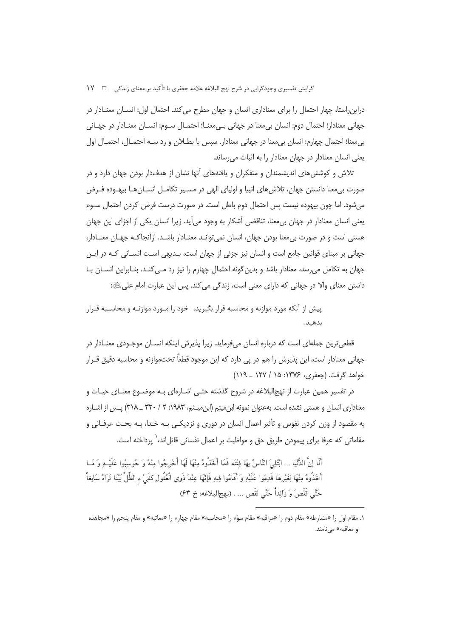دراین راستا، چهار احتمال را برای معناداری انسان و جهان مطرح می کند. احتمال اول: انســان معنــادار در جهاني معنادار؛ احتمال دوم: انسان بي معنا در جهاني بي معنــا؛ احتمــال ســوم: انســان معنــادار در جهــاني بی معنا؛ احتمال چهارم: انسان بی معنا در جهانی معنادار. سپس با بطــلان و رد ســه احتمــال، احتمــال اول یعنی انسان معنادار در جهان معنادار را به اثبات می رساند.

تلاش و کوشش های اندیشمندان و متفکران و یافتههای آنها نشان از هدفدار بودن جهان دارد و در صورت بی معنا دانستن جهان، تلاش های انبیا و اولیای الهی در مسیر تکامل انسـان هـا بیهـوده فـرض می شود. اما چون بیهوده نیست پس احتمال دوم باطل است. در صورت درست فرض کردن احتمال سـوم یعنی انسان معنادار در جهان بی معنا، تناقضی آشکار به وجود می آید. زیرا انسان یکی از اجزای این جهان هستی است و در صورت بی معنا بودن جهان، انسان نمی توانـد معنـادار باشـد. ازآنجاکـه جهـان معنـادار، جهانی بر مبنای قوانین جامع است و انسان نیز جزئی از جهان است، بـدیهی اسـت انسـانی کـه در ایـن جهان به تکامل می رسد، معنادار باشد و بدین گونه احتمال چهارم را نیز رد مـی کنـد. بنـابراین انســان بــا داشتن معناي والا در جهاني كه داراي معنى است، زندگي مي كند. پس اين عبارت امام علي الله:

پیش از آنکه مورد موازنه و محاسبه قرار بگیرید، خود را مـورد موازنـه و محاسـبه قـرار ىدھىد.

قطعیترین جملهای است که درباره انسان میفرماید. زیرا پذیرش اینکه انسـان موجـودی معنـادار در جهانی معنادار است، این پذیرش را هم در پی دارد که این موجود قطعاً تحتموازنه و محاسبه دقیق قــرار خواهد گرفت. (جعفری، ۱۳۷۶: ۱۵ / ۱۲۷ \_ ۱۱۹)

در تفسیر همین عبارت از نهج|لبلاغه در شروح گذشته حتـی اشـارهای بـه موضـوع معنـای حیـات و معناداری انسان و هستی نشده است. بهعنوان نمونه ابن میثم (ابن میشم، ۱۹۸۳: ۲ / ۳۲۰ ــ ۳۱۸) پـس از اشـاره به مقصود از وزن کردن نفوس و تأثیر اعمال انسان در دوری و نزدیکـی بـه خـدا، بـه بحـث عرفـانی و مقاماتی که عرفا برای پیمودن طریق حق و مواظبت بر اعمال نفسانی قائلاند، ٰ پرداخته است.

.<br>أَلَا إِنَّ الدُّنْيَا ... انْتُلِيَ النَّاسُ بِهَا فتْنَه فَعَا أَخَذُوهُ مِنْهَا لَهَا أُخْرِجُوا مِنْهُ وَ جُوسِبُوا عَلَيْـهِ وَ مَبا أَخَذُوهُ مِنْهَا لِغَيْرِهَا قَدِمُوا عَلَيْهِ وَأَقَامُوا فِيهِ فَإِنَّهَا عِنْدَ ذَوِى الْعُقُولِ كفَىْ ء الظِّلِّ بَيْنَا تَرَاهُ سَابِغاً حَتَّى قَلَصَ وَ زَائِداً حَتَّى نَقَص ... . (نهج|لبلاغه: خ ۶۳)

١. مقام اول را «مشارطه» مقام دوم را «مراقبه» مقام سوّم را «محاسبه» مقام چهارم را «معاتبه» و مقام پنجم را «مجاهده و معاقبه» می نامند.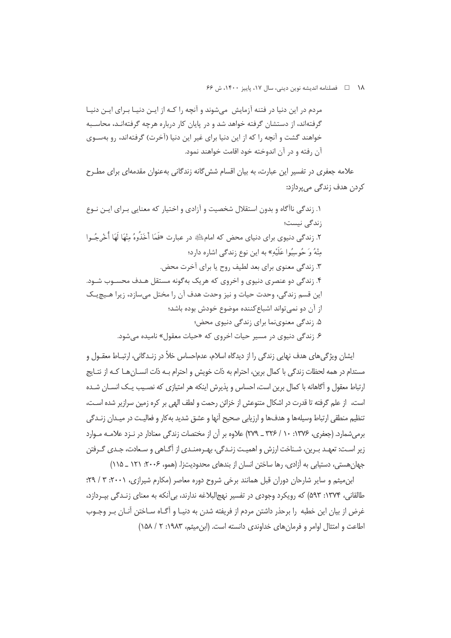١٨ هطلنامه انديشه نوين ديني، سال ١٧، پاييز ١۴٠٠، ش ۶۶

مردم در این دنیا در فتنه آزمایش ً میشوند و آنچه را کـه از ایـن دنیـا بـرای ایـن دنیـا گرفتهاند، از دستشان گرفته خواهد شد و در پایان کار درباره هرچه گرفتهانـد، محاسـبه خواهند گشت و آنچه ٫ا که از این دنیا برای غیر این دنیا (آخرت) گرفتهاند، رو بهسـوی آن رفته و در آن اندوخته خود اقامت خواهند نمود.

علامه جعفری در تفسیر این عبارت، به بیان اقسام شش گانه زندگانی بهعنوان مقدمهای برای مطـرح کردن هدف زندگی میپردازد:

۱. زندگی ناآگاه و بدون استقلال شخصیت و آزادی و اختیار که معنایی بـرای ایـن نـوع زندگے شست؛ ۲. زندگی دنیوی برای دنیای محض که امامﷺ در عبارت «فَمَا أَخَذُوهُ مِنْهَا لَهَا أُخْرِجُـوا مِنْهُ وَ حُوسِبُوا عَلَيْهِ» به اين نوع زندگي اشاره دارد؛ ۳. زندگی معنوی برای بعد لطیف روح یا برای آخرت محض. ۴. زندگی دو عنصری دنیوی و اخروی که هریک بهگونه مستقل هـدف محسـوب شـود. این قسم زندگی، وحدت حیات و نیز وحدت هدف آن را مختل می سازد، زیرا هـیچ یـک از آن دو نمی تواند اشباع کننده موضوع خودش بوده باشد؛ ۵. زندگی معنوینما برای زندگی دنیوی محض؛ ۶. زندگی دنیوی در مسیر حیات اخروی که «حیات معقول» نامیده میشود.

ایشان ویژگی های هدف نهایی زندگی را از دیدگاه اسلام، عدماحساس خلاً در زنـدگانی، ارتبـاط معقـول و مستدام در همه لحظات زندگی با کمال برین، احترام به ذات خویش و احترام بـه ذات انســان هــا کــه از نتــایج ارتباط معقول و آگاهانه با کمال برین است، احساس و پذیرش اینکه هر امتیازی که نصـیب یـک انســان شــده است، از علم گرفته تا قدرت در اشکال متنوعش از خزائن رحمت و لطف الهی بر کره زمین سرازیر شده اسـت، تنظیم منطقی ارتباط وسیلهها و هدفها و ارزیابی صحیح آنها و عشق شدید به کار و فعالیت در میـدان زنــدگی برم شمارد. (جعفری، ۱۳۷۶: ۱۰ / ۳۲۶ \_ ۲۷۹) علاوه بر آن از مختصات زندگی معنادار در نـزد علامـه مـوارد زیر است: تعهـد بـرین، شـناخت ارزش و اهمیـت زنـدگی، بهـرهمنـدی از اَگـاهی و سـعادت، جـدی گـرفتن جهان هستی، دستیابی به آزادی، رها ساختن انسان از بندهای محدودیتزا. (همو، ۲۰۰۶: ۱۲۱ \_ ۱۱۵)

ابن میثم و سایر شارحان دوران قبل همانند برخی شروح دوره معاصر (مکارم شیرازی، ۲۰۰۱: ۳ / ۲۹؛ طالقانی، ۱۳۷۴: ۵۹۳) که رویکرد وجودی در تفسیر نهجالبلاغه ندارند، بی آنکه به معنای زنـدگی بیـردازد، غرض از بیان این خطبه ۱٫ برحذر داشتن مردم از فریفته شدن به دنیـا و آگـاه سـاختن آنــان بــر وجــوب اطاعت و امتثال اوامر و فرمان های خداوندی دانسته است. (این میثم، ۱۹۸۳: ۲ / ۱۵۸)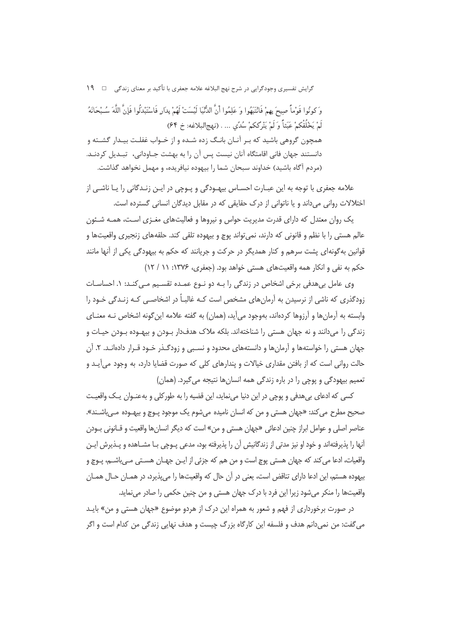گرایش تفسیری وجودگرایی در شرح نهج البلاغه علامه جعفری با تأکید بر معنای زندگی □ ۱۹ وَ كونُوا قَوْماً صِبحَ بِهِمْ فَانْتَبَهُوا وَ عَلِمُوا أَنَّ الدُّنَّيَا لَنْسَتْ لَهُمْ بِدَارٍ فَاسْتَبْدِكُوا فَإِنَّ اللَّهَ سُبْحَانَهُ لَمْ يَخْلُقْكمْ عَبَثاً وَ لَمْ يَتْرَككمْ سُدًى ... . (نهج|لبلاغه: خ ۶۴) همچون گروهی باشید که بـر آنـان بانـگ زده شـده و از خـواب غفلـت بیـدار گشـته و دانستند جهان فانی اقامتگاه آنان نیست پس آن را به بهشت جــاودانی، تبــدیل کردنــد. (مردم آگاه باشید) خداوند سبحان شما را بیهوده نیافریده، و مهمل نخواهد گذاشت.

علامه جعفری با توجه به این عبـارت احسـاس بیهـودگی و پـوچی در ایـن زنـدگانی را یـا ناشـی از اختلالات روانی می داند و یا ناتوانی از درک حقایقی که در مقابل دیدگان انسانی گسترده است.

یک روان معتدل که دارای قدرت مدیریت حواس و نیروها و فعالیتهای مغـزی اسـت، همـه شـئون عالم هستی را با نظم و قانونی که دارند، نمی تواند پوچ و بیهوده تلقی کند. حلقههای زنجیری واقعیتها و قوانین به گونهای پشت سرهم و کنار همدیگر در حرکت و جریانند که حکم به بیهودگی یکی از آنها مانند حکم به نفی و انکار همه واقعیتهای هستی خواهد بود. (جعفری، ۱۳۷۶: ۱۱ / ۱۲)

وی عامل بیهدفی برخی اشخاص در زندگی را بـه دو نـوع عمـده تقسـیم مـی کنـد: ۱. احساسـات زودگذری که ناشی از نرسیدن به آرمانهای مشخص است کـه غالبـاً در اشخاصـی کـه زنـدگی خـود را وابسته به آرمانها و آرزوها کردهاند، بهوجود می آید، (همان) به گفته علامه این گونه اشخاص نـه معنــای زندگی را میدانند و نه جهان هستی را شناختهاند. بلکه ملاک هدفدار بـودن و بیهـوده بـودن حیـات و جهان هستی را خواستهها و آرمانها و دانستههای محدود و نسـبی و زودگـذر خـود قـرار دادهانـد. ۲. آن حالت روانی است که از بافتن مقداری خیالات و پندارهای کلی که صورت قضایا دارد، به وجود می آیـد و تعميم بيهودگي و پوچي را در باره زندگي همه انسانها نتيجه مي گيرد. (همان)

کسي که ادعای بي هدفي و يوچي در اين دنيا مي نمايد، اين قضيه را به طور کلي و به عنـوان يـک واقعيـت صحیح مطرح می کند: «جهان هستی و من که انسان نامیده میشوم یک موجود پـوچ و بیهـوده مـی،ِاشـند». عناصر اصلي و عوامل ابراز چنين ادعائي «جهان هستي و من» است كه ديگر انسانها واقعيت و قــانوني بـودن آنها را پذیرفتهاند و خود او نیز مدتی از زندگانیش آن را پذیرفته بود، مدعی پـوچی بـا مشــاهده و پـذیرش ایـن واقعيات، ادعا مي كند كه جهان هستي يوچ است و من هم كه جزئي از ايـن جهـان هســتي مــ راشــم، يــوچ و بیهوده هستم، این ادعا دارای تناقض است، یعنی در آن حال که واقعیتها را می پذیرد، در همـان حـال همـان واقعیتها را منکر میشود زیرا این فرد با درک جهان هستی و من چنین حکمی را صادر مینماید.

در صورت برخورداری از فهم و شعور به همراه این درک از هردو موضوع «جهان هستی و من» بایـد می گفت: من نمیدانم هدف و فلسفه این کارگاه بزرگ چیست و هدف نهایی زندگی من کدام است و اگر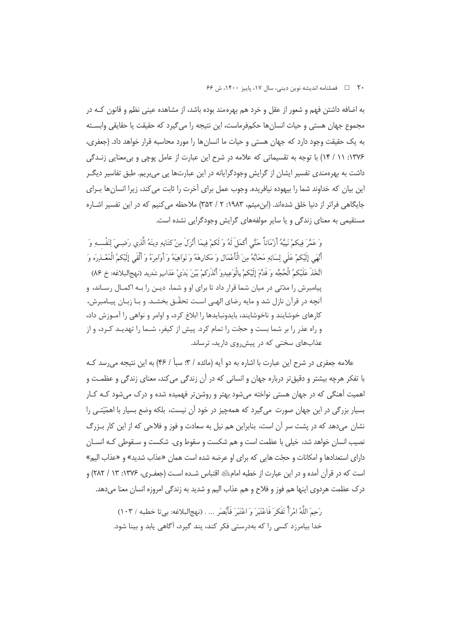به اضافه داشتن فهم و شعور از عقل و خرد هم بهرهمند بوده باشد، از مشاهده عینی نظم و قانون کـه در مجموع جهان هستی و حیات انسان ها حکمفرماست، این نتیجه را می گیرد که حقیقت یا حقایقی وابسته به یک حقیقت وجود دارد که جهان هستی و حیات ما انسان ها را مورد محاسبه قرار خواهد داد. (جعفری، ۱۳۷۶: ۱۱ / ۱۴) با توجه به تقسیماتی که علامه در شرح این عبارت از عامل پوچی و بی معنایی زنـدگی داشت به بهرهمندی تفسیر ایشان از گرایش وجودگرایانه در این عبارتها پی میبریم. طبق تفاسیر دیگـر این بیان که خداوند شما را بیهوده نیافریده. وجوب عمل برای آخرت را ثابت می کند، زیرا انسان ها بـرای جایگاهی فراتر از دنیا خلق شدهاند. (ابن میثم، ۱۹۸۳: ۲ / ۳۵۲) ملاحظه می کنیم که در این تفسیر اشـاره مستقیمی به معنای زندگی و یا سایر مولفههای گرایش وجودگرایی نشده است.

وَ عَمَّرَ فِيكِمْ نَبِيَّهُ أَرْمَاناً حَتَّى أَكْمَلَ لَهُ وَ لَكِمْ فِيمَا أَنْزَلَ مِنْ كِتَابِهِ دينَهُ الّذي رَضِـيَ لِنَفْسِـهِ وَ أَنْهَى إِلَيْكُمْ عَلَى لِسَانِهِ مَحَابَّهُ مِنَ الْأَعْمَالِ وَ مَكارِهَهُ وَ نَوَاهِيَهُ وَ أَوَامِرَهُ وَ أَلْقَى إِلَيْكُمُ الْمَعْـٰذِرَه وَ اتَّخَذَ عَلَيْكمُ الْحُجَّه وَ قَدَّمَ إِلَيْكمْ بِالْوَعِيدِوَ أَنْذَرَكمْ بَيْنَ يَدَىٰ عَذابِ شَدِيد (نهجالبلاغه: خ ٨۶) پیامبرش را مدّتی در میان شما قرار داد تا برای او و شما، دیــن را بــه اکمــال رســاند، و آنچه در قرآن نازل شد و مایه رضای الهـی اسـت تحقّـق بخشـد. و بـا زبـان پیـامبرش، کارهای خوشایند و ناخوشایند، بایدونبایدها را ابلاغ کرد، و اوامر و نواهی را آمـوزش داد، و راه عذر را بر شما بست و حجّت را تمام کرد. پیش از کیفر، شـما را تهدیـد کـرد، و از عذابهای سختی که در پیش وی دارید، ترساند.

علامه جعفري در شرح اين عبارت با اشاره به دو آيه (مائده / ٣: سبأ / ۴۶) به اين نتيجه مي رسد کـه با تفکر هرچه بیشتر و دقیقتر درباره جهان و انسانی که در آن زندگی میکند، معنای زندگی و عظمت و اهمیت آهنگی که در جهان هستی نواخته می شود بهتر و روشن تر فهمیده شده و درک می شود کـه کـار بسیار بزرگی در این جهان صورت می گیرد که همهچیز در خود آن نیست، بلکه وضع بسیار با اهمّیّتـی را نشان میدهد که در پشت سر آن است، بنابراین هم نیل به سعادت و فوز و فلاحی که از این کار بـزرگ نصيب انسان خواهد شد، خيلي با عظمت است و هم شكست و سقوط وي. شكست و سـقوطي كـه انسـان دارای استعدادها و امکانات و حجّت هایی که برای او عرضه شده است همان «عذاب شدید» و «عذاب الیم» است که در قرآن آمده و در این عبارت از خطبه امام ﷺ اقتباس شـده اسـت (جعفـري، ۱۳۷۶: ۱۳ / ۲۸۲) و درک عظمت هردوی اینها هم فوز و فلاح و هم عذاب الیم و شدید به زندگی امروزه انسان معنا میدهد.

رَحِمَ اللَّهُ إِمْرَأَ تَفَكَّرَ فَاعْتَبَرَ وَ اعْتَبَرَ فَأَبْصَرِ ... . (نِهِجِ لِبِلاغِهِ: بِي تا خطبه / ١٠٣) خدا بیامرزد کسی را که بهدرستی فکر کند، پند گیرد، آگاهی پابد و بینا شود.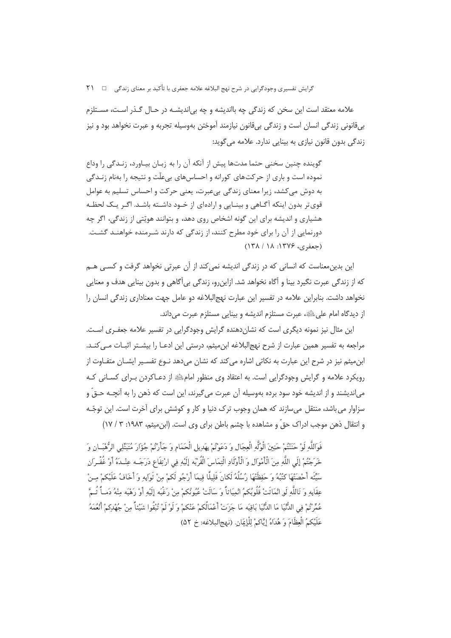گرایش تفسیری وجودگرایی در شرح نهج البلاغه علامه جعفری با تأکید بر معنای زندگی □ ۲۱

علامه معتقد است این سخن که زندگی چه بااندیشه و چه بی|ندیشـه در حـال گـذر اسـت، مسـتلزم بي قانوني زندگي انسان است و زندگي بي قانون نيازمند آموختن بهوسيله تجربه و عبرت نخواهد بود و نيز زندگی بدون قانون نیازی به بینایی ندارد. علامه می گوید:

گوینده چنین سخنی چتما مدتها پیش از آنکه آن را به زبیان سپاورد، زنیدگی را وداع نموده است و باری از حرکتهای کورانه و احساسهای بی علّت و نتیجه را بهنام زنـدگے ، به دوش میکشد، زیرا معنای زندگی بیعبرت، یعنی حرکت و احساس تسلیم به عوامل قوی تر بدون اینکه آگـاهی و بینـایی و ارادهای از خـود داشـته باشـد. اگـر یـک لحظـه هشیاری و اندیشه برای این گونه اشخاص روی دهد، و بتوانند هویّتی از زندگی، اگر چه دورنمایی از آن را برای خود مطرح کنند، از زندگی که دارند شـرمنده خواهنـد گشـت.  $(14) 11.11996$  (حعفري)

این بدین،معناست که انسانی که در زندگی اندیشه نمی کند از آن عبرتی نخواهد گرفت و کســی هــم که از زندگی عبرت نگیرد بینا و آگاه نخواهد شد. ازاینرو، زندگی بیآگاهی و بدون بینایی هدف و معنایی نخواهد داشت. بنابراین علامه در تفسیر این عبارت نهجالبلاغه دو عامل جهت معناداری زندگی انسان را از دیدگاه امام علی ﷺ، عبرت مستلزم اندیشه و بینایی مستلزم عبرت می داند.

این مثال نیز نمونه دیگری است که نشان دهنده گرایش وجودگرایی در تفسیر علامه جعفـری اسـت. مراجعه به تفسیر همین عبارت از شرح نهجالبلاغه این میثم، درستی این ادعـا را بیشــتر اثبــات مــی کنــد. ابن میثم نیز در شرح این عبارت به نکاتی اشاره می کند که نشان می دهد نـوع تفسـیر ایشــان متفـاوت از رویکرد علامه و گرایش وجودگرایی است. به اعتقاد وی منظور امامﷺ از دعـاکردن بـرای کسـانی کـه می|ندیشند و از اندیشه خود سود برده بهوسیله آن عبرت میگیرند، این است که ذهن را به آنچـه حـقّ و سزاوار می باشد، منتقل میسازند که همان وجوب ترک دنیا و کار و کوشش برای آخرت است. این توجّـه و انتقال ذهن موجب ادراک حقّ و مشاهده با چشم باطن برای وی است. (ابن میثم، ۱۹۸۳: ۳ / ۱۷)

فَوَاللَّهِ لَوْ حَنَنْتُمْ حَنِينَ الْوُلَّهِ الْعِجَالِ وَ دَعَوْتُمْ بِهَدِيلٍ الْحَمَامِ وَ جَأَرْتُمْ جُؤَارَ مُتَبَتِّلِي الرُّهْبَـانِ وَ خَرَجْتُمْ إِلَى اللَّهِ مِنَ الْأَمْوَالِ وَ الْأَوْلَادِ الْتِمَاسَ الْقُرْبَه إِلَيْهِ فِي ارْتِفَاعِ دَرَجَـه عِنْـدَةُ أَوْ غُفْـرَانِ سَيِّئَه أَحْصَنَّهَا كَتُبُهُ وَ حَفظَتْهَا رُسُلُهُ لَكانَ قَليلًا فيمَا أَرْجُو لَكمْ منْ ثَوَابِه وَ أَخَافُ عَلَيْكمْ مِنْ عِقَابِهِ وَ تَاللَّهِ لَو انْمَاثَتْ قُلُوبُكمُ انْمِيَاثاً وَ سَالَتْ عُيُونُكمْ مِنْ رَغْبَهِ إِلَيْهِ أَوْ رَهْبَه مِنْهُ دَمــاً ثُـمَّ عُمِّرْتُمْ فِي الدُّنْيَا مَا الدُّنْيَا بَاقِيَه مَا جَزَتْ أَعْمَالُكمْ عَنْكمْ وَ لَوْ لَمْ تُبْقُوا شَيْئاً مِنْ جُهْدِكمْ أَنْعُمَهُ عَلَيْكِمُ الْعِظَامَ وَ هُدَاهُ إِيَّاكِمْ لِلْإِيَانِ. (نهج|البلاغه: خ ۵۲)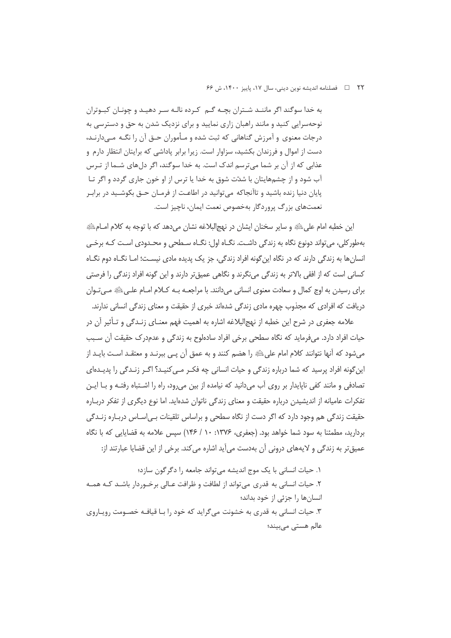٢٢ = فصلنامه انديشه نوين ديني، سال ١٧، پاييز ١۴٠٠، ش ۶۶

به خدا سوگند اگر ماننـد شـتران بچـه گــم کـرده نالـه سـر دهيـد و چونـان کبـوتران نوحهسرایی کنید و مانند راهبان زاری نمایید و برای نزدیک شدن به حق و دسترسی به درجات معنوی و آمرزش گناهانی که ثبت شده و مـأموران حـق آن را نگـه مـی۱دارنـد، دست از اموال و فرزندان بکشید، سزاوار است. زیرا برابر پاداشی که برایتان انتظار دارم و عذابی که از آن بر شما میترسم اندک است. به خدا سوگند، اگر دلهای شـما از تـرس آب شود و از چشمهایتان با شدّت شوق به خدا یا ترس از او خون جاری گردد و اگر تـا پایان دنیا زنده باشید و تاآنجاکه میتوانید در اطاعت از فرمـان حـق بکوشـید در برابـر نعمتهای بزرگ پروردگار بهخصوص نعمت ایمان، ناچیز است.

اين خطبه امام على ﷺ و ساير سخنان ايشان در نهجالبلاغه نشان مي دهد كه با توجه به كلام امــامِﷺ بهطور کلی، میتواند دونوع نگاه به زندگی داشت. نگــاه اول: نگــاه ســطحی و محــدودی اسـت کــه برخــی انسانها به زندگی دارند که در نگاه این گونه افراد زندگی، جز یک پدیده مادی نیست؛ امـا نگـاه دوم نگـاه کسانی است که از افقی بالاتر به زندگی مینگرند و نگاهی عمیقتر دارند و این گونه افراد زندگی را فرصتی برای رسیدن به اوج کمال و سعادت معنوی انسانی میدانند. با مراجعــه بــه کــلام امــام علــیﷺ مــیتـوان دریافت که افرادی که مجذوب چهره مادی زندگی شدهاند خبری از حقیقت و معنای زندگی انسانی ندارند.

علامه جعفري در شرح اين خطبه از نهج|لبلاغه اشاره به اهميت فهم معنــاي زنــدگي و تــأثير آن در حیات افراد دارد. میفرماید که نگاه سطحی برخی افراد سادهلوح به زندگی و عدمدرک حقیقت آن سـبب میشود که آنها نتوانند کلام امام علیﷺ را هضم کنند و به عمق آن پـی ببرنـد و معتقـد اسـت بایـد از این گونه افراد پرسید که شما درباره زندگی و حیات انسانی چه فکـر مـی کنیـد؟ اگـر زنـدگی را پدیـدهای تصادفی و مانند کفی ناپایدار بر روی آب می دانید که نیامده از بین می رود، راه را اشـتباه رفتـه و بـا ایـن تفکرات عامیانه از اندیشیدن درباره حقیقت و معنای زندگی ناتوان شدهاید. اما نوع دیگری از تفکر دربـاره حقیقت زندگی هم وجود دارد که اگر دست از نگاه سطحی و براساس تلقینات بـی|سـاس دربـاره زنـدگی بردارید، مطمئنا به سود شما خواهد بود. (جعفری، ۱۳۷۶: ۱۰ / ۱۴۶) سپس علامه به قضایایی که با نگاه عمیقتر به زندگی و لایههای درونی آن بهدست میآید اشاره میکند. برخی از این قضایا عبارتند از:

١. حيات انساني با يک موج انديشه مي تواند جامعه را دگر گون سازد؛ ۲. حیات انسانی به قدری می تواند از لطافت و ظرافت عـالی برخــوردار باشــد کــه همــه انسانها را جزئی از خود بداند؛ ۳. حیات انسانی به قدری به خشونت می گراید که خود را بـا قیافـه خصـومت رویـاروی عالم هستی میبیند؛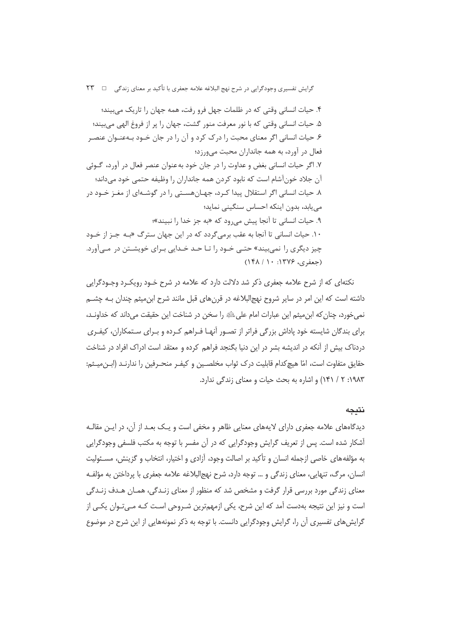گرایش تفسیری وجودگرایی در شرح نهج البلاغه علامه جعفری با تأکید بر معنای زندگی □ ۲۳

۴. حیات انسانی وقتی که در ظلمات جهل فرو رفت، همه جهان را تاریک می بیند؛ ۵. حيات انساني وقتي كه با نور معرفت منور گشت، جهان را پر از فروغ الهي مي بيند؛ ۶. حیات انسانی اگر معنای محبت را درک کرد و آن را در جان خــود بــهعنــوان عنصـر فعال در آورد، به همه جانداران محبت می ورزد؛ ۷. اگر حیات انسانی بغض و عداوت را در جان خود به عنوان عنصر فعال در آورد، گـوئی آن جلاد خونآشام است که نابود کردن همه جانداران را وظیفه حتمی خود می داند؛ ۸. حیات انسانی اگر استقلال پیدا کرد، جهـانهسـتی را در گوشـهای از مغـز خـود در می یابد، بدون اینکه احساس سنگینی نماید؛ ۹. حيات انساني تا آنجا پيش مي<sub>، و</sub>د كه «به جز خدا ,ا نبيند»؛ ١٠. حيات انساني تا آنجا به عقب برمي گردد كه در اين جهان سترگ «بـه جـز از خـود چيز ديگري <sub>د</sub>ا نمي بيند» حتـي خـود را تـا حـد خـدايي بـراي خويشـتن در مـيآورد.  $(18\lambda / 1 \cdot 199\% \cup c \neq 0)$ 

نکتهای که از شرح علامه جعفری ذکر شد دلالت دارد که علامه در شرح خـود رویکـرد وجـودگرایی داشته است که این امر در سایر شروح نهج|لبلاغه در قرنهای قبل مانند شرح ابن میثم چندان بـه چشـم نمی خورد، چنان که ابن میثم این عبارات امام علیﷺ را سخن در شناخت این حقیقت میداند که خداونـد، برای بندگان شایسته خود یاداش بزرگی فراتر از تصـور آنهـا فـراهم کـرده و بـرای سـتمکاران، کیفـری دردناک بیش از آنکه در اندیشه بشر در این دنیا بگنجد فراهم کرده و معتقد است ادراک افراد در شناخت حقايق متفاوت است، امّا هيچ كدام قابليت درك ثواب مخلصـين و كيفـر منحـرفين را ندارنـد (ابـن،ميـثم: ١٩٨٣: ٢ / ١۴١) و اشاره به بحث حيات و معناي زندگي ندارد.

# نتىجە

دیدگاههای علامه جعفری دارای لایههای معنایی ظاهر و مخفی است و یـک بعـد از آن، در ایـن مقالـه آشکار شده است. پس از تعریف گرایش وجودگرایی که در آن مفسر با توجه به مکتب فلسفی وجودگرایی به مؤلفههای خاصی ازجمله انسان و تأکید بر اصالت وجود، آزادی و اختیار، انتخاب و گزینش، مسـئولیت انسان، مرگ، تنهایی، معنای زندگی و … توجه دارد، شرح نهج|لبلاغه علامه جعفری با پرداختن به مؤلفـه معنای زندگی مورد بررسی قرار گرفت و مشخص شد که منظور از معنای زنـدگی، همـان هـدف زنـدگی است و نیز این نتیجه بهدست آمد که این شرح، یکی ازمهمترین شـروحی اسـت کـه مـیتـوان یکـی از گرایشهای تفسیری آن را، گرایش وجودگرایی دانست. با توجه به ذکر نمونههایی از این شرح در موضوع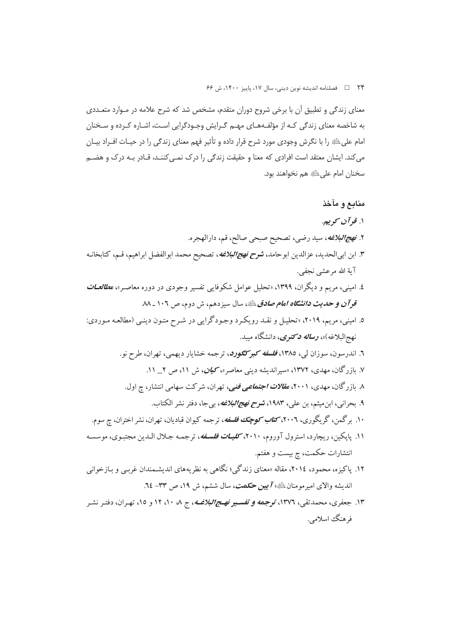٢۴ فصلنامه انديشه نوين ديني، سال ١٧، پاييز ١۴٠٠، ش ۶۶

معنای زندگی و تطبیق آن با برخی شروح دوران متقدم، مشخص شد که شرح علامه در مـوارد متعـددی به شاخصه معنای زندگی کـه از مؤلفـههـای مهـم گـرایش وجـودگرایی اسـت، اشـاره کـرده و سـخنان امام علیﷺ را با نگرش وجودی مورد شرح قرار داده و تأثیر فهم معنای زندگی را در حیـات افـراد بیـان می کند. ایشان معتقد است افرادی که معنا و حقیقت زندگی را درک نمـی کننـد، قـادر بـه درک و هضـم سخنان امام على ﷺ هم نخواهند بود.

## منابع و مآخذ

- ۱. قو آن کو پيږ
- ۲. *نهج البلاغه*، سيد رضي، تصحيح صبحي صالح، قم، دارالهجره.
- ۳. ابن ابي|لحديد، عزالدين ابوحامد، **شرح** *نهج|لبلاغه***،** تصحيح محمد ابوالفضل ابراهيم، قـم، كتابخانـه آية الله مرعشي نجفي.
- ٤. امینی، مریم و دیگران، ١٣٩٩، «تحلیل عوامل شکوفایی تفسیر وجودی در دوره معاصـر»، م*طالعــات* قوآن و حدیث د*انشگاه امام صادق* ﷺ، سال سیزدهم، ش دوم، ص ۱۰۲ ـ ۸۸
- ۵. امینی، مریم، ۲۰۱۹، «تحلیل و نقـد رویکـرد وجـودگرایی در شـرح متـون دینـی (مطالعـه مـوردی: نهجالبلاغه)»، **رس***اله دکت***وی**، دانشگاه مسد.
	- ٦. اندرسون، سوزان لي، ١٣٨٥، فلسفه كبيركگورد، ترجمه خشايار ديهمي، تهران، طرح نو.
		- ۷. بازرگان، مهدی، ۱۳۷۲، «سیراندیشه دینی معاصر»، *کیان*، ش ۱۱، ص ۲\_ ۱۱.
		- ۸ بازرگان، مهدی، ۲۰۰۱، *مقالات اجتماعی فنی*، تهران، شرکت سهامی انتشار، چ اول.
	- ۹. بحراني، ابن ميثم، بن علي، ۱۹۸۳، *شوح نهج البلاغه*، بيجا، دفتر نشر الكتاب. ۱۰. برگمن، گریگوری، ۲۰۰**۱،** *کتاب کوچک فلسفه***،** ترجمه کیوان قبادیان، تهران، نشر اختران، چ سوم.
- ۱۱. پاپکین، ریچارد، استرول آوروم، ۲۰۱۰، *کلیـات فلسـفه*، ترجمـه جـلال الـدین مجتبـوی، موسسـه انتشارات حکمت، چ بیست و هفتم.
- ۱۲. پاکیزه، محمود، ۲۰۱٤، مقاله «معنای زندگی؛ نگاهی به نظریههای اندیشـمندان غربـی و بـازخوانی انديشه والاي امير مومنانﷺ) **7بين حكمت**، سال ششم، ش ١٩، ص ٣٣- ٦٤.
- ۱۳. جعفری، محمدتقی، ۱۳۷۲، ت**وجهه** *و تفسیر نهـج/لبلاغــه***،** ج ۸، ۱۰، ۱۲ و ۱۵، تهـران، دفتـر نشـر فر هنگ اسلامي.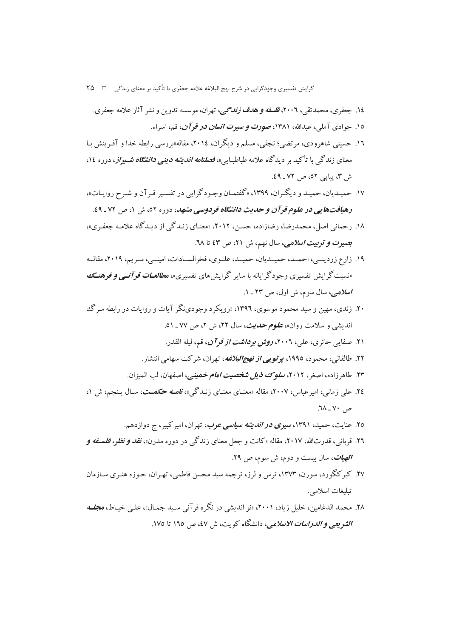گرایش تفسیری وجودگرایی در شرح نهج البلاغه علامه جعفری با تأکید بر معنای زندگی □ ۲۵

- ١٤. جعفري، محمدتقي، ٢٠٠٦، ف*لسفه و هدف زندگي،* تهران، موسسه تدوين و نشر آثار علامه جعفري.
	- ۱۵. جوادي آملي، عبدالله، ۱۳۸۱، ص*ورت و سيرت انسان در قو آن*، قم، اسراء.
- ۱۲. حسینی شاهرودی، مرتضی؛ نجفی، مسلم و دیگران، ۲۰۱٤، مقاله«بررسی رابطه خدا و آفـرینش بـا معنای زندگ<sub>ی</sub> با تأکید بر دیدگاه علامه طباطبای<sub>ی</sub>»، *فصلنامه اندیشه دینی دانشگاه شـیراز*، دوره ۱۶، ش ۳، پیایی ۵۲، ص ۷۲ ـ ٤٩.
- ۱۷. حمیـدیان، حمیـد و دیگـران، ۱۳۹۹، «گفتمـان وجـودگرایی در تفسـیر قـرآن و شـرح روایـات»، رهیافت هایی در علوم قرآن و حدیث دانشگاه فردوسی مشهد، دوره ٥٢، ش ١، ص ٧٢-٤٩.
- ۱۸. رحمانی اصل، محمدرضا، رضازاده، حسن، ۲۰۱۲، «معنـای زنـدگی از ديـدگاه علامـه جعفـری»، بصيرت وتوبيت اسلامي، سال نهم، ش ٢١، ص ٤٣ تا ٦٨.
- ۱۹. زارع زردینبی، احمـد، حمیـدیان، حمیـد، علـوی، فخرالسـادات، امینـی، مـریم، ۲۰۱۹، مقالـه «نسبت گرایش تفسیری وجودگرایانه با سایر گرایش های تفسیری»، م*طالعـات قوآنـبی و ف*وهنـــــــــ اسلامی، سال سوم، ش اول، ص ۲۳ ـ ۱.
- ۲۰. زندی، مهین و سید محمود موسوی، ۱۳۹۶، «رویکر د وجودینگر آیات و روایات در رابطه مه گ اندیشی و سلامت روان»، **ع***لوم حدیث***،** سال ۲۲، ش ۲، ص ۷۷ ـ ۵۱.
	- ۲۱. صفایی حائری، علی، ۲۰۰٦، *روش برداشت از قوآن*، قم، لیله القدر.
	- ۲۲. طالقانی، محمود، ۱۹۹٥، *یو توپے از نهجالبلاغه*، تهران، شرکت سهامی انتشار.
	- ۲۳. طاهر زاده، اصغر، ۲۰۱۲، *سلوک ذیل شخصیت امام خ*مین*ی،* اصفهان، لب المیزان.
- ۲٤. علی زمانی، امیرعباس، ۲۰۰۷، مقاله «معنـای معنـای زنـدگی»، *قامـه حکمــت*، سـال پـنجم، ش ۱،  $\mathcal{M}$  -  $\mathcal{V}$  -  $\mathcal{M}$ .
	- ۲۵. عنایت، حمید، ۱۳۹۱، *سیری در اندیشه سیاسی عرب*، تهران، امیر کبیر، چ دوازدهم.
- ۲٦. قربانی، قدرتالله، ۲۰۱۷، مقاله «کانت و جعل معنای زندگی در دوره مدرن»، *نقد و نظر، فلسـفه و الهيات*، سال بيست و دوم، ش سوم، ص ٢٩.
- ۲۷. کبرکگورد، سورن، ۱۳۷۳، ترس و لرز، ترجمه سید محسن فاطمی، تهـران، حـوزه هنـری سـازمان تىلىغات اسلامى.
- ۲۸. محمد الدغامین، خلیل زیاد، ۲۰۰۱، «نو اندیشی در نگره قر آنی سید جمیال»، علی خیاط، م*جل*ه الشويعي و *الدراسات الاسلامي*، دانشگاه كويت، ش ٤٧، ص ١٦٥ تا ١٧٥.